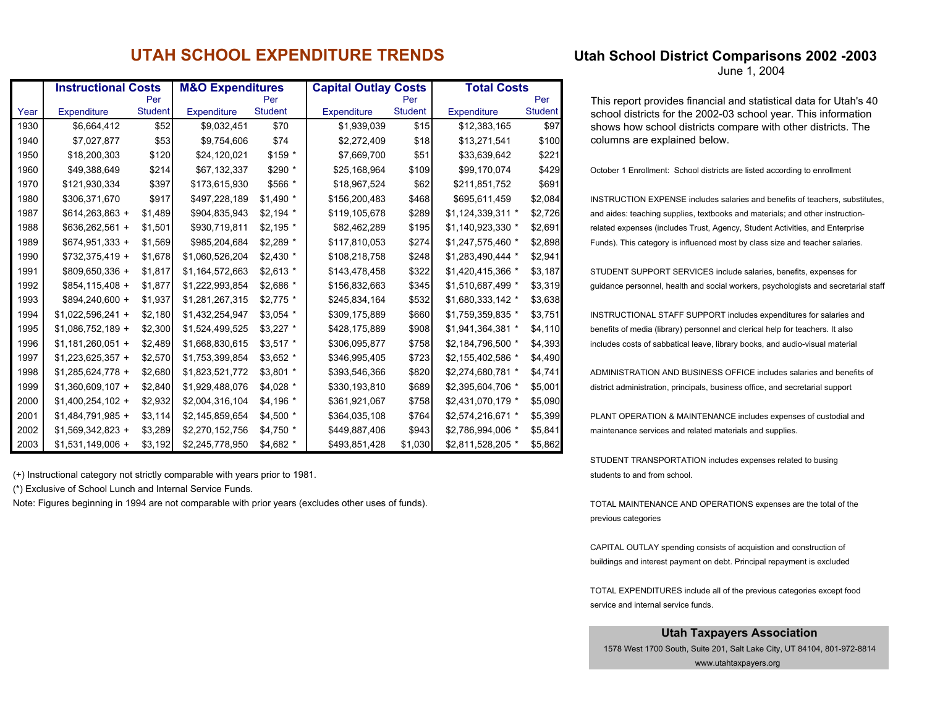## **UTAH SCHOOL EXPENDITURE TRENDS**

|      | <b>Instructional Costs</b> |                | <b>M&amp;O Expenditures</b> |                | <b>Capital Outlay Costs</b> |                | <b>Total Costs</b> |                |  |  |
|------|----------------------------|----------------|-----------------------------|----------------|-----------------------------|----------------|--------------------|----------------|--|--|
|      |                            | Per            |                             | Per            |                             | Per            |                    | Per            |  |  |
| Year | Expenditure                | <b>Student</b> | <b>Expenditure</b>          | <b>Student</b> | <b>Expenditure</b>          | <b>Student</b> | <b>Expenditure</b> | <b>Student</b> |  |  |
| 1930 | \$6,664,412                | \$52           | \$9,032,451                 | \$70           | \$1,939,039                 | \$15           | \$12,383,165       | \$97           |  |  |
| 1940 | \$7,027,877                | \$53           | \$9,754,606                 | \$74           | \$2,272,409                 | \$18           | \$13,271,541       | \$100          |  |  |
| 1950 | \$18,200,303               | \$120          | \$24,120,021                | \$159 *        | \$7,669,700                 | \$51           | \$33,639,642       | \$221          |  |  |
| 1960 | \$49,388,649               | \$214          | \$67,132,337                | \$290 *        | \$25,168,964                | \$109          | \$99,170,074       | \$429          |  |  |
| 1970 | \$121,930,334              | \$397          | \$173,615,930               | \$566 *        | \$18,967,524                | \$62           | \$211,851,752      | \$691          |  |  |
| 1980 | \$306,371,670              | \$917          | \$497,228,189               | $$1,490$ *     | \$156,200,483               | \$468          | \$695,611,459      | \$2,084        |  |  |
| 1987 | $$614,263,863 +$           | \$1,489        | \$904,835,943               | $$2,194$ *     | \$119,105,678               | \$289          | \$1,124,339,311 *  | \$2,726        |  |  |
| 1988 | $$636,262,561 +$           | \$1,501        | \$930,719,811               | $$2,195$ *     | \$82,462,289                | \$195          | \$1,140,923,330 *  | \$2,691        |  |  |
| 1989 | $$674,951,333 +$           | \$1,569        | \$985,204,684               | $$2,289$ *     | \$117,810,053               | \$274          | \$1,247,575,460 *  | \$2,898        |  |  |
| 1990 | $$732,375,419 +$           | \$1,678        | \$1,060,526,204             | \$2,430 *      | \$108,218,758               | \$248          | \$1,283,490,444 *  | \$2,941        |  |  |
| 1991 | \$809,650,336 +            | \$1,817        | \$1,164,572,663             | $$2,613$ *     | \$143,478,458               | \$322          | \$1,420,415,366 *  | \$3,187        |  |  |
| 1992 | $$854,115,408 +$           | \$1,877        | \$1,222,993,854             | \$2,686 *      | \$156,832,663               | \$345          | \$1,510,687,499 *  | \$3,319        |  |  |
| 1993 | \$894,240,600 +            | \$1,937        | \$1,281,267,315             | $$2,775$ *     | \$245,834,164               | \$532          | \$1,680,333,142 *  | \$3,638        |  |  |
| 1994 | $$1,022,596,241 +$         | \$2,180        | \$1,432,254,947             | $$3,054$ *     | \$309,175,889               | \$660          | \$1,759,359,835 *  | \$3,751        |  |  |
| 1995 | $$1,086,752,189 +$         | \$2,300        | \$1,524,499,525             | $$3,227$ *     | \$428,175,889               | \$908          | \$1,941,364,381 *  | \$4,110        |  |  |
| 1996 | $$1,181,260,051 +$         | \$2,489        | \$1,668,830,615             | $$3,517$ *     | \$306,095,877               | \$758          | \$2,184,796,500 *  | \$4,393        |  |  |
| 1997 | $$1,223,625,357 +$         | \$2,570        | \$1,753,399,854             | \$3,652 *      | \$346,995,405               | \$723          | \$2,155,402,586 *  | \$4,490        |  |  |
| 1998 | $$1,285,624,778 +$         | \$2,680        | \$1,823,521,772             | $$3,801$ *     | \$393,546,366               | \$820          | \$2,274,680,781 *  | \$4,741        |  |  |
| 1999 | \$1,360,609,107 +          | \$2,840        | \$1,929,488,076             | \$4,028 *      | \$330,193,810               | \$689          | \$2,395,604,706 *  | \$5,001        |  |  |
| 2000 | $$1,400,254,102 +$         | \$2,932        | \$2,004,316,104             | $$4,196$ *     | \$361,921,067               | \$758          | \$2,431,070,179 *  | \$5,090        |  |  |
| 2001 | $$1,484,791,985 +$         | \$3,114        | \$2,145,859,654             | \$4,500 *      | \$364,035,108               | \$764          | \$2,574,216,671 *  | \$5,399        |  |  |
| 2002 | $$1,569,342,823 +$         | \$3,289        | \$2,270,152,756             | \$4,750 *      | \$449,887,406               | \$943          | \$2,786,994,006 *  | \$5,841        |  |  |
| 2003 | $$1,531,149,006 +$         | \$3,192        | \$2,245,778,950             | \$4,682 *      | \$493,851,428               | \$1,030        | \$2,811,528,205 *  | \$5,862        |  |  |

(+) Instructional category not strictly comparable with years prior to 1981.

(\*) Exclusive of School Lunch and Internal Service Funds.

Note: Figures beginning in 1994 are not comparable with prior years (excludes other uses of funds).

## **Utah School District Comparisons 2002 -2003**

June 1, 2004

This report provides financial and statistical data for Utah's 40 school districts for the 2002-03 school year. This information shows how school districts compare with other districts. The columns are explained below.

October 1 Enrollment: School districts are listed according to enrollment

 $INSTRUCTION EXPENSE$  includes salaries and benefits of teachers, substitutes. and aides: teaching supplies, textbooks and materials; and other instructionrelated expenses (includes Trust, Agency, Student Activities, and Enterprise Funds). This category is influenced most by class size and teacher salaries.

STUDENT SUPPORT SERVICES include salaries, benefits, expenses for guidance personnel, health and social workers, psychologists and secretarial staff

INSTRUCTIONAL STAFF SUPPORT includes expenditures for salaries and benefits of media (library) personnel and clerical help for teachers. It also includes costs of sabbatical leave, library books, and audio-visual material

ADMINISTRATION AND BUSINESS OFFICE includes salaries and benefits of district administration, principals, business office, and secretarial support

PLANT OPERATION & MAINTENANCE includes expenses of custodial and maintenance services and related materials and supplies.

STUDENT TRANSPORTATION includes expenses related to busing students to and from school.

TOTAL MAINTENANCE AND OPERATIONS expenses are the total of the previous categories

CAPITAL OUTLAY spending consists of acquistion and construction of buildings and interest payment on debt. Principal repayment is excluded

TOTAL EXPENDITURES include all of the previous categories except food service and internal service funds.

## **Utah Taxpayers Association**

1578 West 1700 South, Suite 201, Salt Lake City, UT 84104, 801-972-8814

www.utahtaxpayers.org